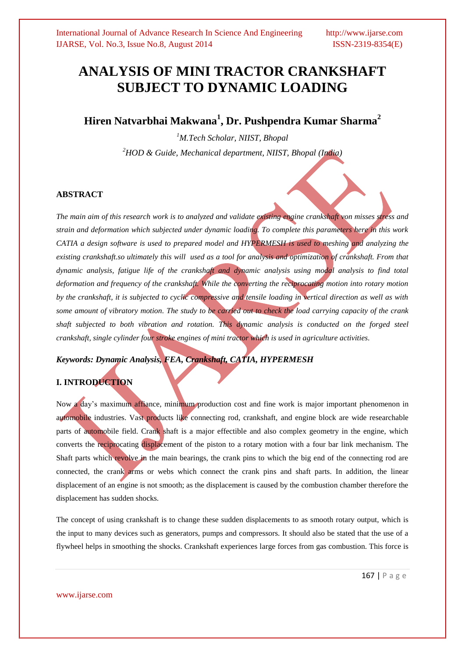# **ANALYSIS OF MINI TRACTOR CRANKSHAFT SUBJECT TO DYNAMIC LOADING**

# **Hiren Natvarbhai Makwana<sup>1</sup> , Dr. Pushpendra Kumar Sharma<sup>2</sup>**

*<sup>1</sup>M.Tech Scholar, NIIST, Bhopal <sup>2</sup>HOD & Guide, Mechanical department, NIIST, Bhopal (India)*

### **ABSTRACT**

*The main aim of this research work is to analyzed and validate existing engine crankshaft von misses stress and strain and deformation which subjected under dynamic loading. To complete this parameters here in this work CATIA a design software is used to prepared model and HYPERMESH is used to meshing and analyzing the existing crankshaft.so ultimately this will used as a tool for analysis and optimization of crankshaft. From that dynamic analysis, fatigue life of the crankshaft and dynamic analysis using modal analysis to find total deformation and frequency of the crankshaft. While the converting the reciprocating motion into rotary motion* by the crankshaft, it is subjected to cyclic compressive and tensile loading in vertical direction as well as with *some amount of vibratory motion. The study to be carried out to check the load carrying capacity of the crank shaft subjected to both vibration and rotation. This dynamic analysis is conducted on the forged steel crankshaft, single cylinder four stroke engines of mini tractor which is used in agriculture activities.* 

*Keywords: Dynamic Analysis, FEA, Crankshaft, CATIA, HYPERMESH*

# **I. INTRODUCTION**

Now a day's maximum affiance, minimum production cost and fine work is major important phenomenon in automobile industries. Vast products like connecting rod, crankshaft, and engine block are wide researchable parts of automobile field. Crank shaft is a major effectible and also complex geometry in the engine, which converts the reciprocating displacement of the piston to a rotary motion with a four bar link mechanism. The Shaft parts which revolve in the main bearings, the crank pins to which the big end of the connecting rod are connected, the crank arms or webs which connect the crank pins and shaft parts. In addition, the linear displacement of an engine is not smooth; as the displacement is caused by the combustion chamber therefore the displacement has sudden shocks.

The concept of using crankshaft is to change these sudden displacements to as smooth rotary output, which is the input to many devices such as generators, pumps and compressors. It should also be stated that the use of a flywheel helps in smoothing the shocks. Crankshaft experiences large forces from gas combustion. This force is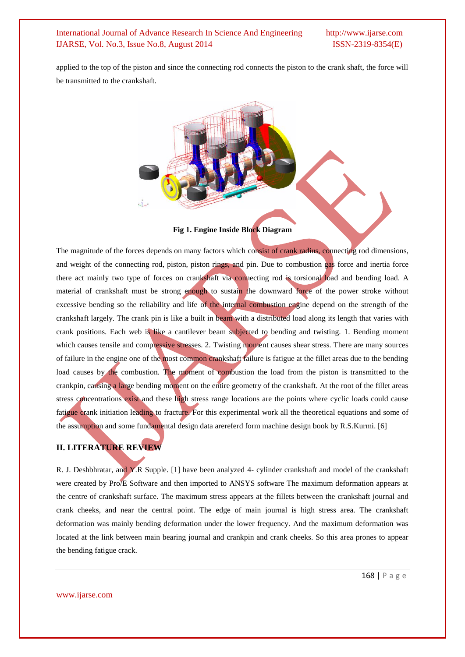applied to the top of the piston and since the connecting rod connects the piston to the crank shaft, the force will be transmitted to the crankshaft.



**Fig 1. Engine Inside Block Diagram**

The magnitude of the forces depends on many factors which consist of crank radius, connecting rod dimensions, and weight of the connecting rod, piston, piston rings, and pin. Due to combustion gas force and inertia force there act mainly two type of forces on crankshaft via connecting rod is torsional load and bending load. A material of crankshaft must be strong enough to sustain the downward force of the power stroke without excessive bending so the reliability and life of the internal combustion engine depend on the strength of the crankshaft largely. The crank pin is like a built in beam with a distributed load along its length that varies with crank positions. Each web is like a cantilever beam subjected to bending and twisting. 1. Bending moment which causes tensile and compressive stresses. 2. Twisting moment causes shear stress. There are many sources of failure in the engine one of the most common crankshaft failure is fatigue at the fillet areas due to the bending load causes by the combustion. The moment of combustion the load from the piston is transmitted to the crankpin, causing a large bending moment on the entire geometry of the crankshaft. At the root of the fillet areas stress concentrations exist and these high stress range locations are the points where cyclic loads could cause fatigue crank initiation leading to fracture. For this experimental work all the theoretical equations and some of the assumption and some fundamental design data arereferd form machine design book by R.S.Kurmi. [6]

### **II. LITERATURE REVIEW**

R. J. Deshbhratar, and Y.R Supple. [1] have been analyzed 4- cylinder crankshaft and model of the crankshaft were created by Pro/E Software and then imported to ANSYS software The maximum deformation appears at the centre of crankshaft surface. The maximum stress appears at the fillets between the crankshaft journal and crank cheeks, and near the central point. The edge of main journal is high stress area. The crankshaft deformation was mainly bending deformation under the lower frequency. And the maximum deformation was located at the link between main bearing journal and crankpin and crank cheeks. So this area prones to appear the bending fatigue crack.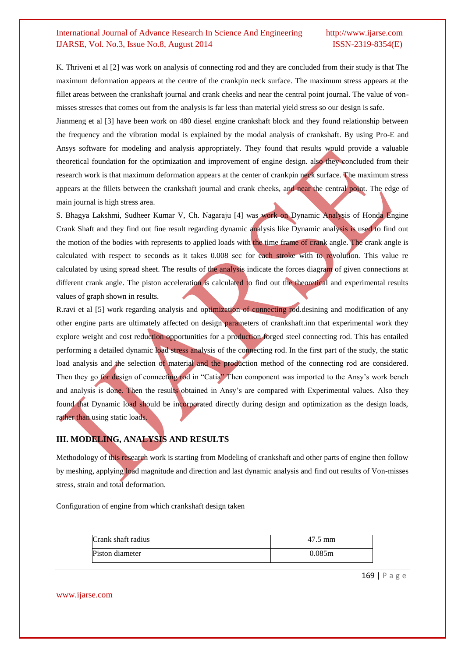K. Thriveni et al [2] was work on analysis of connecting rod and they are concluded from their study is that The maximum deformation appears at the centre of the crankpin neck surface. The maximum stress appears at the fillet areas between the crankshaft journal and crank cheeks and near the central point journal. The value of vonmisses stresses that comes out from the analysis is far less than material yield stress so our design is safe.

Jianmeng et al [3] have been work on 480 diesel engine crankshaft block and they found relationship between the frequency and the vibration modal is explained by the modal analysis of crankshaft. By using Pro-E and Ansys software for modeling and analysis appropriately. They found that results would provide a valuable theoretical foundation for the optimization and improvement of engine design. also they concluded from their research work is that maximum deformation appears at the center of crankpin neck surface. The maximum stress appears at the fillets between the crankshaft journal and crank cheeks, and near the central point. The edge of main journal is high stress area.

S. Bhagya Lakshmi, Sudheer Kumar V, Ch. Nagaraju [4] was work on Dynamic Analysis of Honda Engine Crank Shaft and they find out fine result regarding dynamic analysis like Dynamic analysis is used to find out the motion of the bodies with represents to applied loads with the time frame of crank angle. The crank angle is calculated with respect to seconds as it takes 0.008 sec for each stroke with to revolution. This value re calculated by using spread sheet. The results of the analysis indicate the forces diagram of given connections at different crank angle. The piston acceleration is calculated to find out the theoretical and experimental results values of graph shown in results.

R.ravi et al [5] work regarding analysis and optimization of connecting rod.desining and modification of any other engine parts are ultimately affected on design parameters of crankshaft.inn that experimental work they explore weight and cost reduction opportunities for a production forged steel connecting rod. This has entailed performing a detailed dynamic load stress analysis of the connecting rod. In the first part of the study, the static load analysis and the selection of material and the production method of the connecting rod are considered. Then they go for design of connecting rod in "Catia" Then component was imported to the Ansy's work bench and analysis is done. Then the results obtained in Ansy's are compared with Experimental values. Also they found that Dynamic load should be incorporated directly during design and optimization as the design loads, rather than using static loads.

# **III. MODELING, ANALYSIS AND RESULTS**

Methodology of this research work is starting from Modeling of crankshaft and other parts of engine then follow by meshing, applying load magnitude and direction and last dynamic analysis and find out results of Von-misses stress, strain and total deformation.

Configuration of engine from which crankshaft design taken

| Crank shaft radius | 47.5 mm |
|--------------------|---------|
| Piston diameter    | 0.085m  |

169 | P a g e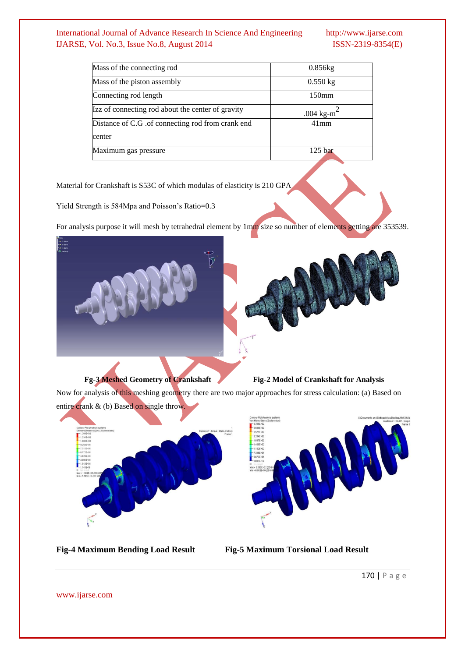| Mass of the connecting rod                        | $0.856$ kg                             |
|---------------------------------------------------|----------------------------------------|
| Mass of the piston assembly                       | $0.550 \text{ kg}$                     |
| Connecting rod length                             | $150$ mm                               |
| Izz of connecting rod about the center of gravity | .004 kg-m <sup><math>\sim</math></sup> |
| Distance of C.G. of connecting rod from crank end | $41$ mm                                |
| center                                            |                                        |
| Maximum gas pressure                              | 125 <sub>bar</sub>                     |

Material for Crankshaft is S53C of which modulas of elasticity is 210 GPA

Yield Strength is 584Mpa and Poisson's Ratio=0.3

For analysis purpose it will mesh by tetrahedral element by 1mm size so number of elements getting are 353539.



**Fg-3 Meshed Geometry of Crankshaft Fig-2 Model of Crankshaft for Analysis**

Now for analysis of this meshing geometry there are two major approaches for stress calculation: (a) Based on entire crank & (b) Based on single throw.





**Fig-4 Maximum Bending Load Result Fig-5 Maximum Torsional Load Result**

170 | P a g e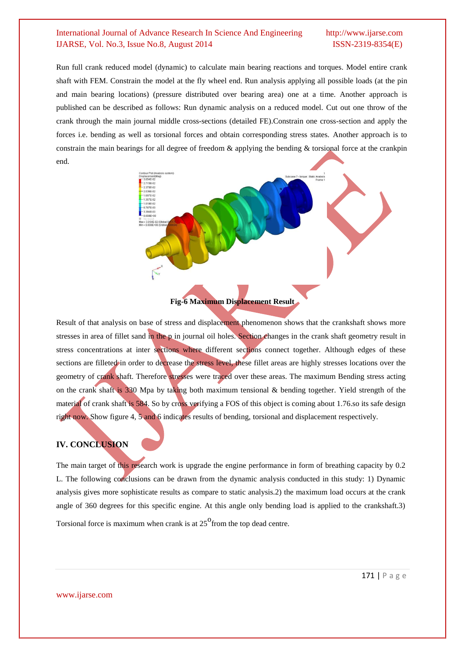Run full crank reduced model (dynamic) to calculate main bearing reactions and torques. Model entire crank shaft with FEM. Constrain the model at the fly wheel end. Run analysis applying all possible loads (at the pin and main bearing locations) (pressure distributed over bearing area) one at a time. Another approach is published can be described as follows: Run dynamic analysis on a reduced model. Cut out one throw of the crank through the main journal middle cross-sections (detailed FE).Constrain one cross-section and apply the forces i.e. bending as well as torsional forces and obtain corresponding stress states. Another approach is to constrain the main bearings for all degree of freedom & applying the bending & torsional force at the crankpin end.



### **Fig-6 Maximum Displacement Result**

Result of that analysis on base of stress and displacement phenomenon shows that the crankshaft shows more stresses in area of fillet sand in the p in journal oil holes. Section changes in the crank shaft geometry result in stress concentrations at inter sections where different sections connect together. Although edges of these sections are filleted in order to decrease the stress level, these fillet areas are highly stresses locations over the geometry of crank shaft. Therefore stresses were traced over these areas. The maximum Bending stress acting on the crank shaft is 330 Mpa by taking both maximum tensional & bending together. Yield strength of the material of crank shaft is 584. So by cross verifying a FOS of this object is coming about 1.76.so its safe design right now. Show figure 4, 5 and 6 indicates results of bending, torsional and displacement respectively.

## **IV. CONCLUSION**

The main target of this research work is upgrade the engine performance in form of breathing capacity by 0.2 L. The following conclusions can be drawn from the dynamic analysis conducted in this study: 1) Dynamic analysis gives more sophisticate results as compare to static analysis.2) the maximum load occurs at the crank angle of 360 degrees for this specific engine. At this angle only bending load is applied to the crankshaft.3) Torsional force is maximum when crank is at  $25^{\circ}$  from the top dead centre.